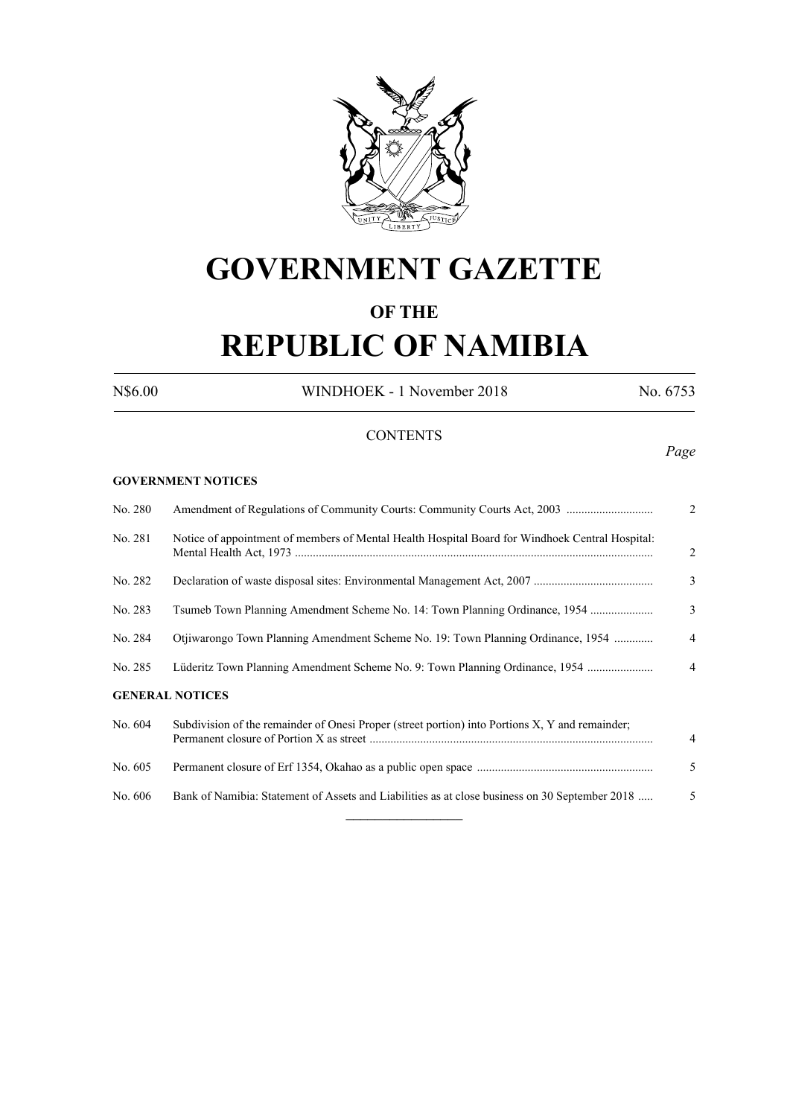

# **GOVERNMENT GAZETTE**

# **OF THE**

# **REPUBLIC OF NAMIBIA**

N\$6.00 WINDHOEK - 1 November 2018 No. 6753

# **CONTENTS**

*Page*

# **GOVERNMENT NOTICES**

| No. 280 |                                                                                                 | 2              |
|---------|-------------------------------------------------------------------------------------------------|----------------|
| No. 281 | Notice of appointment of members of Mental Health Hospital Board for Windhoek Central Hospital: | 2              |
| No. 282 |                                                                                                 | 3              |
| No. 283 | Tsumeb Town Planning Amendment Scheme No. 14: Town Planning Ordinance, 1954                     | 3              |
| No. 284 | Otjiwarongo Town Planning Amendment Scheme No. 19: Town Planning Ordinance, 1954                | $\overline{4}$ |
| No. 285 | Lüderitz Town Planning Amendment Scheme No. 9: Town Planning Ordinance, 1954                    | $\overline{4}$ |
|         | <b>GENERAL NOTICES</b>                                                                          |                |
| No. 604 | Subdivision of the remainder of Onesi Proper (street portion) into Portions X, Y and remainder; | $\overline{4}$ |
| No. 605 |                                                                                                 | 5              |
| No. 606 | Bank of Namibia: Statement of Assets and Liabilities as at close business on 30 September 2018  | 5              |
|         |                                                                                                 |                |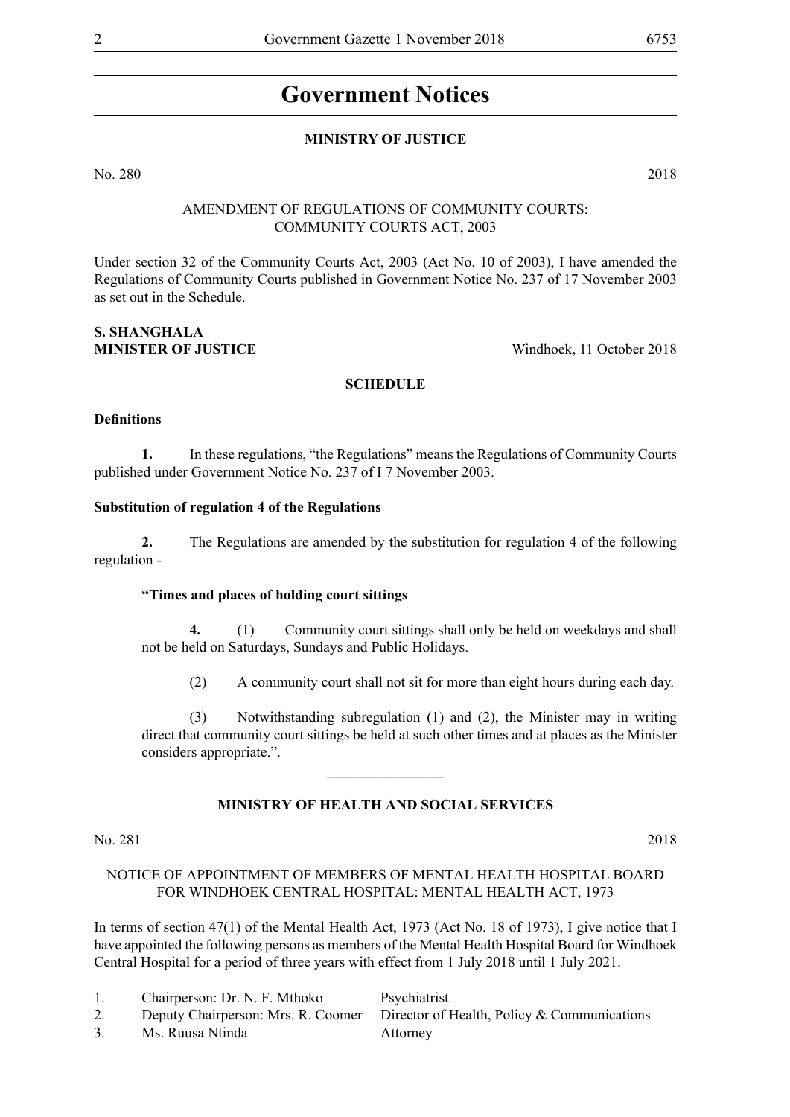# **Government Notices**

# **MINISTRY OF JUSTICE**

No. 280 2018

# AMENDMENT OF REGULATIONS OF COMMUNITY COURTS: COMMUNITY COURTS ACT, 2003

Under section 32 of the Community Courts Act, 2003 (Act No. 10 of 2003), I have amended the Regulations of Community Courts published in Government Notice No. 237 of 17 November 2003 as set out in the Schedule.

# **S. SHANGHALA MINISTER OF JUSTICE** Windhoek, 11 October 2018

# **SCHEDULE**

## **Definitions**

**1.** In these regulations, "the Regulations" means the Regulations of Community Courts published under Government Notice No. 237 of I 7 November 2003.

# **Substitution of regulation 4 of the Regulations**

**2.** The Regulations are amended by the substitution for regulation 4 of the following regulation -

## **"Times and places of holding court sittings**

**4.** (1) Community court sittings shall only be held on weekdays and shall not be held on Saturdays, Sundays and Public Holidays.

(2) A community court shall not sit for more than eight hours during each day.

(3) Notwithstanding subregulation (1) and (2), the Minister may in writing direct that community court sittings be held at such other times and at places as the Minister considers appropriate.".

## **MINISTRY OF HEALTH AND SOCIAL SERVICES**

 $\frac{1}{2}$ 

## No. 281 2018

## NOTICE OF APPOINTMENT OF MEMBERS OF MENTAL HEALTH HOSPITAL BOARD FOR WINDHOEK CENTRAL HOSPITAL: MENTAL HEALTH ACT, 1973

In terms of section 47(1) of the Mental Health Act, 1973 (Act No. 18 of 1973), I give notice that I have appointed the following persons as members of the Mental Health Hospital Board for Windhoek Central Hospital for a period of three years with effect from 1 July 2018 until 1 July 2021.

1. Chairperson: Dr. N. F. Mthoko Psychiatrist

3. Ms. Ruusa Ntinda Attorney

2. Deputy Chairperson: Mrs. R. Coomer Director of Health, Policy & Communications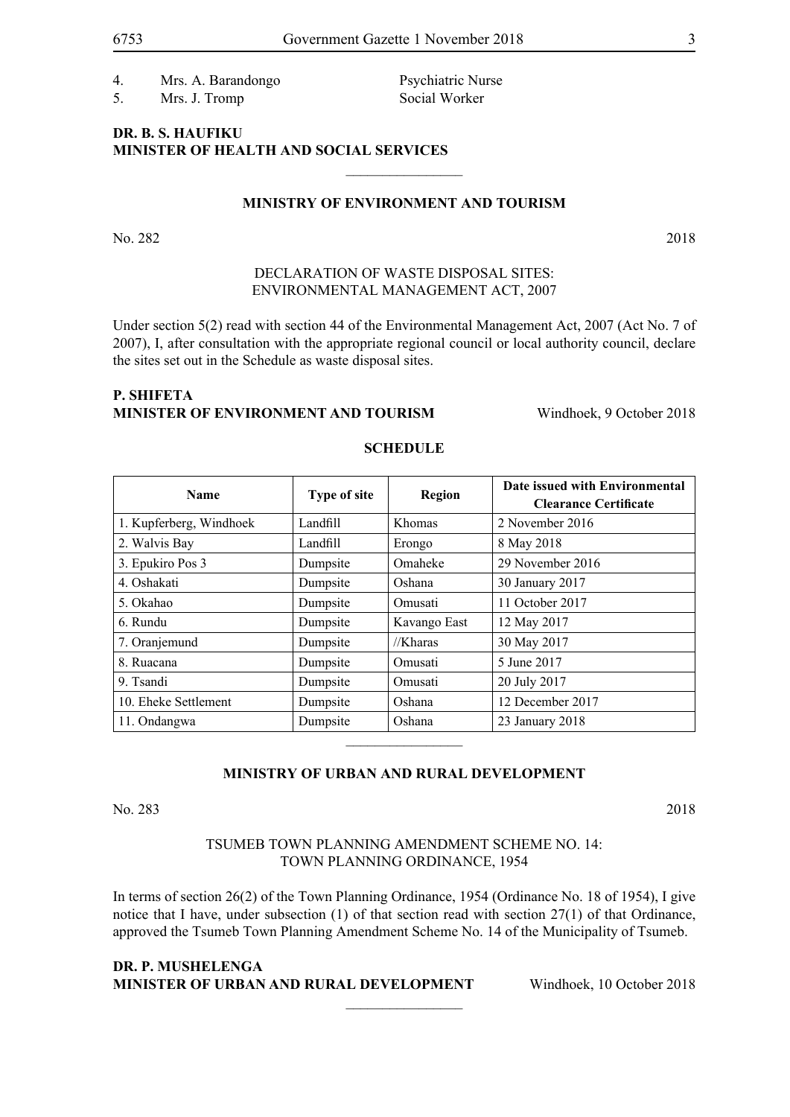4. Mrs. A. Barandongo Psychiatric Nurse 5. Mrs. J. Tromp Social Worker

# **DR. B. S. HAUFIKU MINISTER OF HEALTH AND SOCIAL SERVICES**

#### **MINISTRY OF ENVIRONMENT AND TOURISM**

 $\frac{1}{2}$ 

No. 282 2018

# DECLARATION OF WASTE DISPOSAL SITES: ENVIRONMENTAL MANAGEMENT ACT, 2007

Under section 5(2) read with section 44 of the Environmental Management Act, 2007 (Act No. 7 of 2007), I, after consultation with the appropriate regional council or local authority council, declare the sites set out in the Schedule as waste disposal sites.

# **P. SHIFETA MINISTER OF ENVIRONMENT AND TOURISM Windhoek, 9 October 2018**

| <b>Name</b>             | Type of site | Region        | Date issued with Environmental<br><b>Clearance Certificate</b> |
|-------------------------|--------------|---------------|----------------------------------------------------------------|
| 1. Kupferberg, Windhoek | Landfill     | <b>Khomas</b> | 2 November 2016                                                |
| 2. Walvis Bay           | Landfill     | Erongo        | 8 May 2018                                                     |
| 3. Epukiro Pos 3        | Dumpsite     | Omaheke       | 29 November 2016                                               |
| 4. Oshakati             | Dumpsite     | Oshana        | 30 January 2017                                                |
| 5. Okahao               | Dumpsite     | Omusati       | 11 October 2017                                                |
| 6. Rundu                | Dumpsite     | Kavango East  | 12 May 2017                                                    |
| 7. Oranjemund           | Dumpsite     | //Kharas      | 30 May 2017                                                    |
| 8. Ruacana              | Dumpsite     | Omusati       | 5 June 2017                                                    |
| 9. Tsandi               | Dumpsite     | Omusati       | 20 July 2017                                                   |
| 10. Eheke Settlement    | Dumpsite     | Oshana        | 12 December 2017                                               |
| 11. Ondangwa            | Dumpsite     | Oshana        | 23 January 2018                                                |

# **SCHEDULE**

# **MINISTRY OF URBAN AND RURAL DEVELOPMENT**

 $\frac{1}{2}$ 

No. 283 2018

# TSUMEB TOWN PLANNING AMENDMENT SCHEME NO. 14: TOWN PLANNING ORDINANCE, 1954

In terms of section 26(2) of the Town Planning Ordinance, 1954 (Ordinance No. 18 of 1954), I give notice that I have, under subsection (1) of that section read with section 27(1) of that Ordinance, approved the Tsumeb Town Planning Amendment Scheme No. 14 of the Municipality of Tsumeb.

 $\frac{1}{2}$ 

# **DR. P. MUSHELENGA MINISTER OF URBAN AND RURAL DEVELOPMENT** Windhoek, 10 October 2018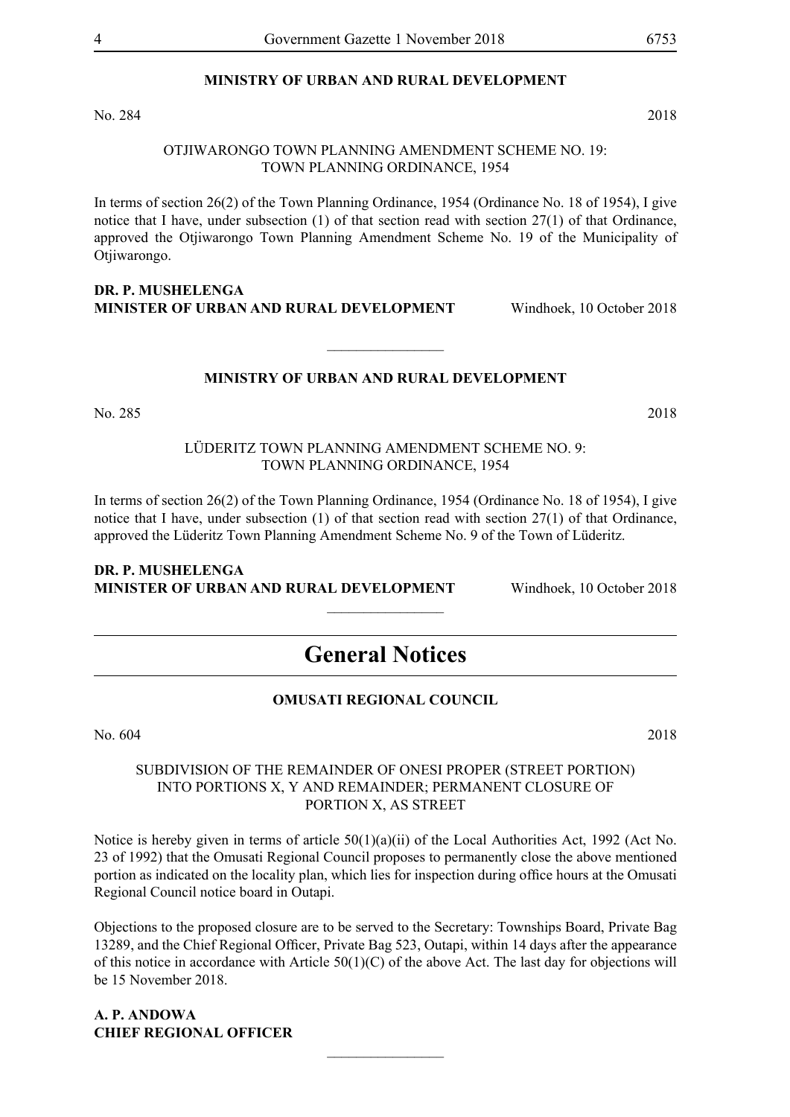# **MINISTRY OF URBAN AND RURAL DEVELOPMENT**

No. 284 2018

## OTJIWARONGO TOWN PLANNING AMENDMENT SCHEME NO. 19: TOWN PLANNING ORDINANCE, 1954

In terms of section 26(2) of the Town Planning Ordinance, 1954 (Ordinance No. 18 of 1954), I give notice that I have, under subsection (1) of that section read with section 27(1) of that Ordinance, approved the Otjiwarongo Town Planning Amendment Scheme No. 19 of the Municipality of Otjiwarongo.

**DR. P. MUSHELENGA MINISTER OF URBAN AND RURAL DEVELOPMENT** Windhoek, 10 October 2018

# **MINISTRY OF URBAN AND RURAL DEVELOPMENT**

 $\overline{\phantom{a}}$  , where  $\overline{\phantom{a}}$ 

No. 285 2018

LÜDERITZ TOWN PLANNING AMENDMENT SCHEME NO. 9: TOWN PLANNING ORDINANCE, 1954

In terms of section 26(2) of the Town Planning Ordinance, 1954 (Ordinance No. 18 of 1954), I give notice that I have, under subsection (1) of that section read with section 27(1) of that Ordinance, approved the Lüderitz Town Planning Amendment Scheme No. 9 of the Town of Lüderitz.

#### **DR. P. MUSHELENGA MINISTER OF URBAN AND RURAL DEVELOPMENT** Windhoek, 10 October 2018

# **General Notices**

 $\frac{1}{2}$ 

# **OMUSATI REGIONAL COUNCIL**

No. 604 2018

# SUBDIVISION OF THE REMAINDER OF ONESI PROPER (STREET PORTION) INTO PORTIONS X, Y AND REMAINDER; PERMANENT CLOSURE OF PORTION X, AS STREET

Notice is hereby given in terms of article 50(1)(a)(ii) of the Local Authorities Act, 1992 (Act No. 23 of 1992) that the Omusati Regional Council proposes to permanently close the above mentioned portion as indicated on the locality plan, which lies for inspection during office hours at the Omusati Regional Council notice board in Outapi.

Objections to the proposed closure are to be served to the Secretary: Townships Board, Private Bag 13289, and the Chief Regional Officer, Private Bag 523, Outapi, within 14 days after the appearance of this notice in accordance with Article 50(1)(C) of the above Act. The last day for objections will be 15 November 2018.

 $\frac{1}{2}$ 

**A. P. ANDOWA CHIEF REGIONAL OFFICER**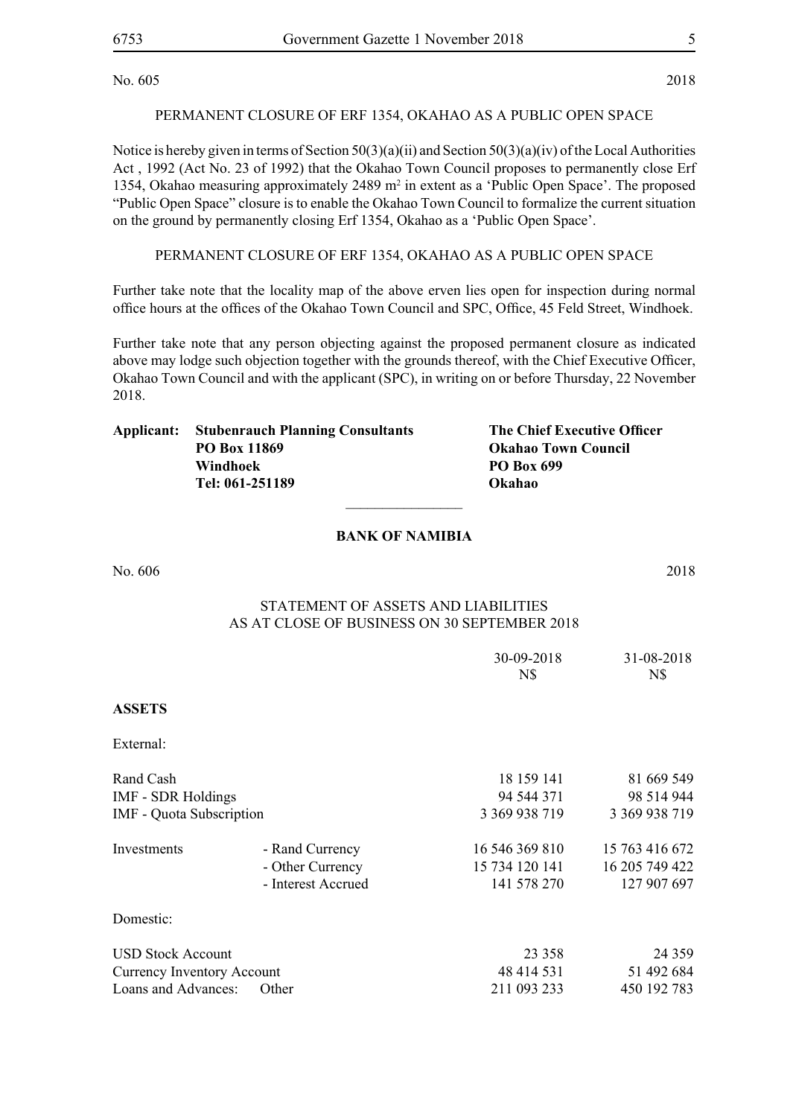# PERMANENT CLOSURE OF ERF 1354, OKAHAO AS A PUBLIC OPEN SPACE

Notice is hereby given in terms of Section 50(3)(a)(ii) and Section 50(3)(a)(iv) of the Local Authorities Act , 1992 (Act No. 23 of 1992) that the Okahao Town Council proposes to permanently close Erf 1354, Okahao measuring approximately 2489 m<sup>2</sup> in extent as a 'Public Open Space'. The proposed "Public Open Space" closure is to enable the Okahao Town Council to formalize the current situation on the ground by permanently closing Erf 1354, Okahao as a 'Public Open Space'.

PERMANENT CLOSURE OF ERF 1354, OKAHAO AS A PUBLIC OPEN SPACE

Further take note that the locality map of the above erven lies open for inspection during normal office hours at the offices of the Okahao Town Council and SPC, Office, 45 Feld Street, Windhoek.

Further take note that any person objecting against the proposed permanent closure as indicated above may lodge such objection together with the grounds thereof, with the Chief Executive Officer, Okahao Town Council and with the applicant (SPC), in writing on or before Thursday, 22 November 2018.

| Applicant: | <b>Stubenrauch Planning Consultants</b> | The Chief Executive Officer |
|------------|-----------------------------------------|-----------------------------|
|            | <b>PO Box 11869</b>                     | <b>Okahao Town Council</b>  |
|            | Windhoek                                | <b>PO Box 699</b>           |
|            | Tel: 061-251189                         | Okahao                      |
|            |                                         |                             |

# **BANK OF NAMIBIA**

No. 606 2018

# Statement of Assets and Liabilities As at close of business on 30 September 2018

|                                   |                    | 30-09-2018<br>N\$ | 31-08-2018<br>N\$ |
|-----------------------------------|--------------------|-------------------|-------------------|
| <b>ASSETS</b>                     |                    |                   |                   |
| External:                         |                    |                   |                   |
| Rand Cash                         |                    | 18 159 141        | 81 669 549        |
| <b>IMF - SDR Holdings</b>         |                    | 94 544 371        | 98 514 944        |
| <b>IMF</b> - Quota Subscription   |                    | 3 369 938 719     | 3 369 938 719     |
| Investments                       | - Rand Currency    | 16 546 369 810    | 15 763 416 672    |
|                                   | - Other Currency   | 15 734 120 141    | 16 205 749 422    |
|                                   | - Interest Accrued | 141 578 270       | 127 907 697       |
| Domestic:                         |                    |                   |                   |
| <b>USD Stock Account</b>          |                    | 23 3 5 8          | 24 3 5 9          |
| <b>Currency Inventory Account</b> |                    | 48 414 531        | 51 492 684        |
| Loans and Advances:               | Other              | 211 093 233       | 450 192 783       |